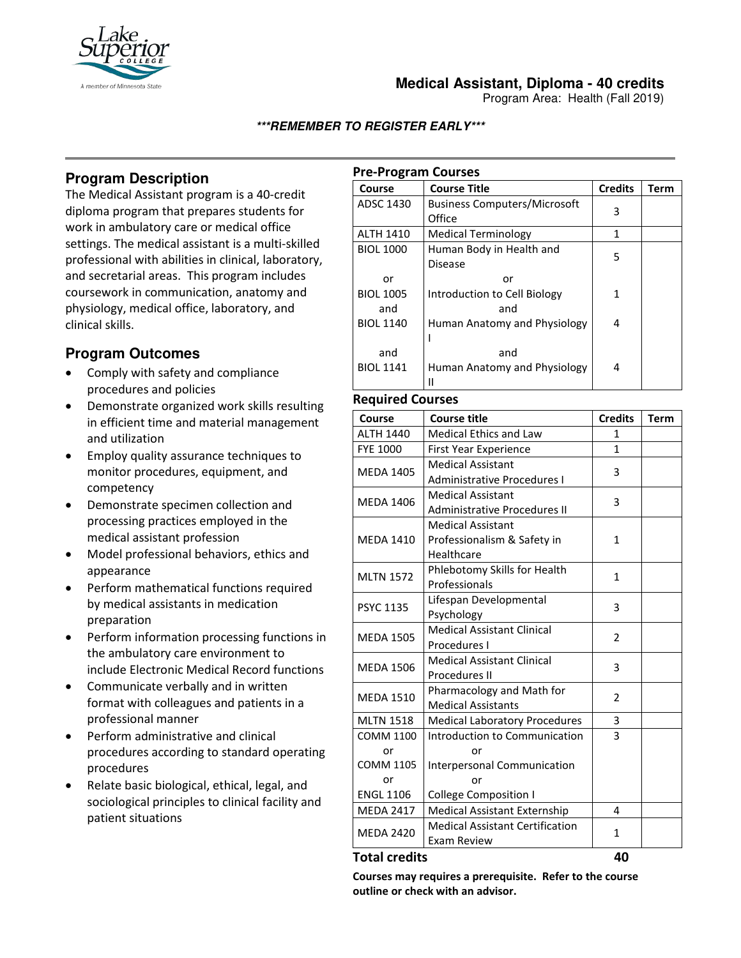

### **Medical Assistant, Diploma - 40 credits**

Program Area: Health (Fall 2019)

### **\*\*\*REMEMBER TO REGISTER EARLY\*\*\***

# **Program Description**

The Medical Assistant program is a 40-credit diploma program that prepares students for work in ambulatory care or medical office settings. The medical assistant is a multi-skilled professional with abilities in clinical, laboratory, and secretarial areas. This program includes coursework in communication, anatomy and physiology, medical office, laboratory, and clinical skills.

# **Program Outcomes**

- Comply with safety and compliance procedures and policies
- Demonstrate organized work skills resulting in efficient time and material management and utilization
- Employ quality assurance techniques to monitor procedures, equipment, and competency
- Demonstrate specimen collection and processing practices employed in the medical assistant profession
- Model professional behaviors, ethics and appearance
- Perform mathematical functions required by medical assistants in medication preparation
- Perform information processing functions in the ambulatory care environment to include Electronic Medical Record functions
- Communicate verbally and in written format with colleagues and patients in a professional manner
- Perform administrative and clinical procedures according to standard operating procedures
- Relate basic biological, ethical, legal, and sociological principles to clinical facility and patient situations

### **Pre-Program Courses**

| Course                        | <b>Course Title</b>                           | <b>Credits</b> | <b>Term</b> |
|-------------------------------|-----------------------------------------------|----------------|-------------|
| ADSC 1430                     | <b>Business Computers/Microsoft</b><br>Office | 3              |             |
| <b>ALTH 1410</b>              | <b>Medical Terminology</b>                    | 1              |             |
| <b>BIOL 1000</b>              | Human Body in Health and<br><b>Disease</b>    | 5              |             |
| or<br><b>BIOL 1005</b><br>and | or<br>Introduction to Cell Biology<br>and     | 1              |             |
| <b>BIOL 1140</b>              | Human Anatomy and Physiology                  | 4              |             |
| and<br><b>BIOL 1141</b>       | and<br>Human Anatomy and Physiology           | 4              |             |

#### **Required Courses**

| Course           | <b>Course title</b>                    | <b>Credits</b> | <b>Term</b> |
|------------------|----------------------------------------|----------------|-------------|
| <b>ALTH 1440</b> | <b>Medical Ethics and Law</b>          | 1              |             |
| <b>FYE 1000</b>  | <b>First Year Experience</b>           | $\mathbf{1}$   |             |
|                  | <b>Medical Assistant</b>               | 3              |             |
| <b>MEDA 1405</b> | <b>Administrative Procedures I</b>     |                |             |
|                  | <b>Medical Assistant</b>               | 3              |             |
| <b>MEDA 1406</b> | <b>Administrative Procedures II</b>    |                |             |
| <b>MEDA 1410</b> | <b>Medical Assistant</b>               | $\mathbf{1}$   |             |
|                  | Professionalism & Safety in            |                |             |
|                  | Healthcare                             |                |             |
| <b>MLTN 1572</b> | Phlebotomy Skills for Health           | $\mathbf{1}$   |             |
|                  | Professionals                          |                |             |
| <b>PSYC 1135</b> | Lifespan Developmental                 | 3              |             |
|                  | Psychology                             |                |             |
| <b>MEDA 1505</b> | <b>Medical Assistant Clinical</b>      | 2              |             |
|                  | Procedures I                           |                |             |
| <b>MEDA 1506</b> | <b>Medical Assistant Clinical</b>      | 3              |             |
|                  | <b>Procedures II</b>                   |                |             |
| <b>MEDA 1510</b> | Pharmacology and Math for              | $\overline{2}$ |             |
|                  | <b>Medical Assistants</b>              |                |             |
| <b>MLTN 1518</b> | <b>Medical Laboratory Procedures</b>   | 3              |             |
| <b>COMM 1100</b> | Introduction to Communication          | 3              |             |
| or               | or                                     |                |             |
| <b>COMM 1105</b> | Interpersonal Communication            |                |             |
| or               | or                                     |                |             |
| <b>ENGL 1106</b> | <b>College Composition I</b>           |                |             |
| <b>MEDA 2417</b> | <b>Medical Assistant Externship</b>    | 4              |             |
| <b>MEDA 2420</b> | <b>Medical Assistant Certification</b> | $\mathbf{1}$   |             |
|                  | Exam Review                            |                |             |

### **Total credits 40**

**Courses may requires a prerequisite. Refer to the course outline or check with an advisor.**